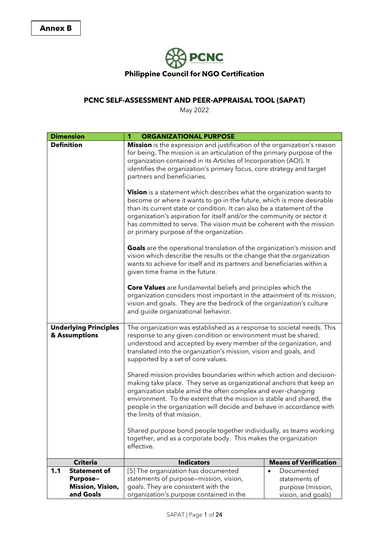

## **PCNC SELF-ASSESSMENT AND PEER-APPRAISAL TOOL (SAPAT)**

May 2022

| <b>Dimension</b>                                                                      | <b>ORGANIZATIONAL PURPOSE</b><br>1                                                                                                                                                                                                                                                                                                                                                                                          |                                                                                                                                                                                                                                    |  |  |  |  |
|---------------------------------------------------------------------------------------|-----------------------------------------------------------------------------------------------------------------------------------------------------------------------------------------------------------------------------------------------------------------------------------------------------------------------------------------------------------------------------------------------------------------------------|------------------------------------------------------------------------------------------------------------------------------------------------------------------------------------------------------------------------------------|--|--|--|--|
| <b>Definition</b>                                                                     | Mission is the expression and justification of the organization's reason<br>for being. The mission is an articulation of the primary purpose of the<br>organization contained in its Articles of Incorporation (AOI). It<br>identifies the organization's primary focus, core strategy and target<br>partners and beneficiaries.                                                                                            |                                                                                                                                                                                                                                    |  |  |  |  |
|                                                                                       | <b>Vision</b> is a statement which describes what the organization wants to<br>become or where it wants to go in the future, which is more desirable<br>than its current state or condition. It can also be a statement of the<br>organization's aspiration for itself and/or the community or sector it<br>has committed to serve. The vision must be coherent with the mission<br>or primary purpose of the organization. |                                                                                                                                                                                                                                    |  |  |  |  |
|                                                                                       | given time frame in the future.                                                                                                                                                                                                                                                                                                                                                                                             | <b>Goals</b> are the operational translation of the organization's mission and<br>vision which describe the results or the change that the organization<br>wants to achieve for itself and its partners and beneficiaries within a |  |  |  |  |
|                                                                                       | <b>Core Values</b> are fundamental beliefs and principles which the<br>organization considers most important in the attainment of its mission,<br>vision and goals. They are the bedrock of the organization's culture<br>and guide organizational behavior.                                                                                                                                                                |                                                                                                                                                                                                                                    |  |  |  |  |
| <b>Underlying Principles</b><br>& Assumptions                                         | The organization was established as a response to societal needs. This<br>response to any given condition or environment must be shared,<br>understood and accepted by every member of the organization, and<br>translated into the organization's mission, vision and goals, and<br>supported by a set of core values.                                                                                                     |                                                                                                                                                                                                                                    |  |  |  |  |
|                                                                                       | Shared mission provides boundaries within which action and decision-<br>making take place. They serve as organizational anchors that keep an<br>organization stable amid the often complex and ever-changing<br>environment. To the extent that the mission is stable and shared, the<br>people in the organization will decide and behave in accordance with<br>the limits of that mission.                                |                                                                                                                                                                                                                                    |  |  |  |  |
|                                                                                       | Shared purpose bond people together individually, as teams working<br>together, and as a corporate body. This makes the organization<br>effective.                                                                                                                                                                                                                                                                          |                                                                                                                                                                                                                                    |  |  |  |  |
| <b>Criteria</b>                                                                       | <b>Indicators</b>                                                                                                                                                                                                                                                                                                                                                                                                           | <b>Means of Verification</b>                                                                                                                                                                                                       |  |  |  |  |
| 1.1<br><b>Statement of</b><br><b>Purpose-</b><br><b>Mission, Vision,</b><br>and Goals | [5] The organization has documented<br>Documented<br>$\bullet$<br>statements of purpose-mission, vision,<br>statements of<br>goals. They are consistent with the<br>purpose (mission,<br>organization's purpose contained in the<br>vision, and goals)                                                                                                                                                                      |                                                                                                                                                                                                                                    |  |  |  |  |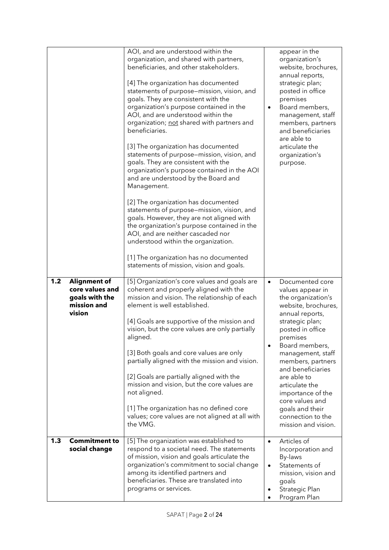|     |                                                                                   | AOI, and are understood within the<br>organization, and shared with partners,<br>beneficiaries, and other stakeholders.<br>[4] The organization has documented<br>statements of purpose-mission, vision, and<br>goals. They are consistent with the<br>organization's purpose contained in the<br>AOI, and are understood within the<br>organization; not shared with partners and<br>beneficiaries.<br>[3] The organization has documented<br>statements of purpose-mission, vision, and<br>goals. They are consistent with the<br>organization's purpose contained in the AOI<br>and are understood by the Board and<br>Management.<br>[2] The organization has documented<br>statements of purpose-mission, vision, and<br>goals. However, they are not aligned with<br>the organization's purpose contained in the<br>AOI, and are neither cascaded nor<br>understood within the organization.<br>[1] The organization has no documented<br>statements of mission, vision and goals. | $\bullet$              | appear in the<br>organization's<br>website, brochures,<br>annual reports,<br>strategic plan;<br>posted in office<br>premises<br>Board members,<br>management, staff<br>members, partners<br>and beneficiaries<br>are able to<br>articulate the<br>organization's<br>purpose.                                                                                                    |
|-----|-----------------------------------------------------------------------------------|------------------------------------------------------------------------------------------------------------------------------------------------------------------------------------------------------------------------------------------------------------------------------------------------------------------------------------------------------------------------------------------------------------------------------------------------------------------------------------------------------------------------------------------------------------------------------------------------------------------------------------------------------------------------------------------------------------------------------------------------------------------------------------------------------------------------------------------------------------------------------------------------------------------------------------------------------------------------------------------|------------------------|---------------------------------------------------------------------------------------------------------------------------------------------------------------------------------------------------------------------------------------------------------------------------------------------------------------------------------------------------------------------------------|
| 1.2 | <b>Alignment of</b><br>core values and<br>goals with the<br>mission and<br>vision | [5] Organization's core values and goals are<br>coherent and properly aligned with the<br>mission and vision. The relationship of each<br>element is well established.<br>[4] Goals are supportive of the mission and<br>vision, but the core values are only partially<br>aligned.<br>[3] Both goals and core values are only<br>partially aligned with the mission and vision.<br>[2] Goals are partially aligned with the<br>mission and vision, but the core values are<br>not aligned.<br>[1] The organization has no defined core<br>values; core values are not aligned at all with<br>the VMG.                                                                                                                                                                                                                                                                                                                                                                                   | $\bullet$<br>٠         | Documented core<br>values appear in<br>the organization's<br>website, brochures,<br>annual reports,<br>strategic plan;<br>posted in office<br>premises<br>Board members,<br>management, staff<br>members, partners<br>and beneficiaries<br>are able to<br>articulate the<br>importance of the<br>core values and<br>goals and their<br>connection to the<br>mission and vision. |
| 1.3 | <b>Commitment to</b><br>social change                                             | [5] The organization was established to<br>respond to a societal need. The statements<br>of mission, vision and goals articulate the<br>organization's commitment to social change<br>among its identified partners and<br>beneficiaries. These are translated into<br>programs or services.                                                                                                                                                                                                                                                                                                                                                                                                                                                                                                                                                                                                                                                                                             | $\bullet$<br>$\bullet$ | Articles of<br>Incorporation and<br>By-laws<br>Statements of<br>mission, vision and<br>goals<br>Strategic Plan<br>Program Plan                                                                                                                                                                                                                                                  |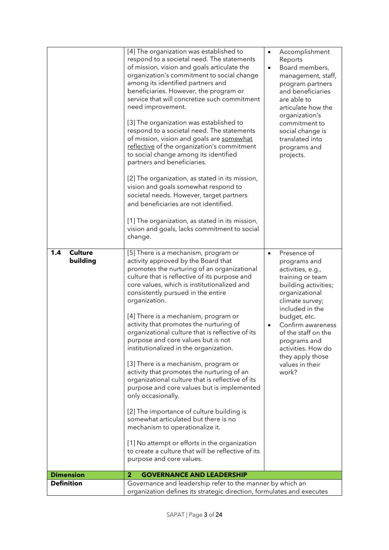|                                   | [4] The organization was established to<br>respond to a societal need. The statements<br>of mission, vision and goals articulate the<br>organization's commitment to social change<br>among its identified partners and<br>beneficiaries. However, the program or<br>service that will concretize such commitment<br>need improvement.<br>[3] The organization was established to<br>respond to a societal need. The statements<br>of mission, vision and goals are somewhat<br>reflective of the organization's commitment<br>to social change among its identified<br>partners and beneficiaries.<br>[2] The organization, as stated in its mission,<br>vision and goals somewhat respond to<br>societal needs. However, target partners<br>and beneficiaries are not identified.<br>[1] The organization, as stated in its mission,<br>vision and goals, lacks commitment to social<br>change.                                                                                 | $\bullet$<br>$\bullet$ | Accomplishment<br>Reports<br>Board members,<br>management, staff,<br>program partners<br>and beneficiaries<br>are able to<br>articulate how the<br>organization's<br>commitment to<br>social change is<br>translated into<br>programs and<br>projects.                                                 |
|-----------------------------------|-----------------------------------------------------------------------------------------------------------------------------------------------------------------------------------------------------------------------------------------------------------------------------------------------------------------------------------------------------------------------------------------------------------------------------------------------------------------------------------------------------------------------------------------------------------------------------------------------------------------------------------------------------------------------------------------------------------------------------------------------------------------------------------------------------------------------------------------------------------------------------------------------------------------------------------------------------------------------------------|------------------------|--------------------------------------------------------------------------------------------------------------------------------------------------------------------------------------------------------------------------------------------------------------------------------------------------------|
| <b>Culture</b><br>1.4<br>building | [5] There is a mechanism, program or<br>activity approved by the Board that<br>promotes the nurturing of an organizational<br>culture that is reflective of its purpose and<br>core values, which is institutionalized and<br>consistently pursued in the entire<br>organization.<br>[4] There is a mechanism, program or<br>activity that promotes the nurturing of<br>organizational culture that is reflective of its<br>purpose and core values but is not<br>institutionalized in the organization.<br>[3] There is a mechanism, program or<br>activity that promotes the nurturing of an<br>organizational culture that is reflective of its<br>purpose and core values but is implemented<br>only occasionally.<br>[2] The importance of culture building is<br>somewhat articulated but there is no<br>mechanism to operationalize it.<br>[1] No attempt or efforts in the organization<br>to create a culture that will be reflective of its<br>purpose and core values. | $\bullet$<br>$\bullet$ | Presence of<br>programs and<br>activities, e.g.,<br>training or team<br>building activities;<br>organizational<br>climate survey;<br>included in the<br>budget, etc.<br>Confirm awareness<br>of the staff on the<br>programs and<br>activities. How do<br>they apply those<br>values in their<br>work? |
| <b>Dimension</b>                  | 2<br><b>GOVERNANCE AND LEADERSHIP</b>                                                                                                                                                                                                                                                                                                                                                                                                                                                                                                                                                                                                                                                                                                                                                                                                                                                                                                                                             |                        |                                                                                                                                                                                                                                                                                                        |
| <b>Definition</b>                 | Governance and leadership refer to the manner by which an<br>organization defines its strategic direction, formulates and executes                                                                                                                                                                                                                                                                                                                                                                                                                                                                                                                                                                                                                                                                                                                                                                                                                                                |                        |                                                                                                                                                                                                                                                                                                        |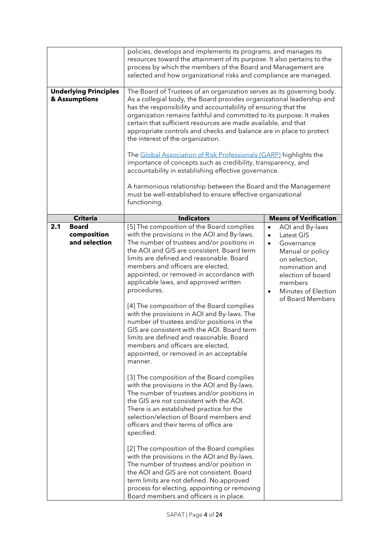| <b>Underlying Principles</b><br>& Assumptions       | policies, develops and implements its programs, and manages its<br>resources toward the attainment of its purpose. It also pertains to the<br>process by which the members of the Board and Management are<br>selected and how organizational risks and compliance are managed.<br>The Board of Trustees of an organization serves as its governing body.<br>As a collegial body, the Board provides organizational leadership and<br>has the responsibility and accountability of ensuring that the<br>organization remains faithful and committed to its purpose. It makes<br>certain that sufficient resources are made available, and that<br>appropriate controls and checks and balance are in place to protect<br>the interest of the organization.<br>The Global Association of Risk Professionals (GARP) highlights the<br>importance of concepts such as credibility, transparency, and<br>accountability in establishing effective governance.<br>A harmonious relationship between the Board and the Management<br>must be well-established to ensure effective organizational |                                                                                                                                                                                                                                   |  |
|-----------------------------------------------------|--------------------------------------------------------------------------------------------------------------------------------------------------------------------------------------------------------------------------------------------------------------------------------------------------------------------------------------------------------------------------------------------------------------------------------------------------------------------------------------------------------------------------------------------------------------------------------------------------------------------------------------------------------------------------------------------------------------------------------------------------------------------------------------------------------------------------------------------------------------------------------------------------------------------------------------------------------------------------------------------------------------------------------------------------------------------------------------------|-----------------------------------------------------------------------------------------------------------------------------------------------------------------------------------------------------------------------------------|--|
|                                                     | functioning.                                                                                                                                                                                                                                                                                                                                                                                                                                                                                                                                                                                                                                                                                                                                                                                                                                                                                                                                                                                                                                                                               |                                                                                                                                                                                                                                   |  |
| <b>Criteria</b>                                     | <b>Indicators</b>                                                                                                                                                                                                                                                                                                                                                                                                                                                                                                                                                                                                                                                                                                                                                                                                                                                                                                                                                                                                                                                                          | <b>Means of Verification</b>                                                                                                                                                                                                      |  |
| 2.1<br><b>Board</b><br>composition<br>and selection | [5] The composition of the Board complies<br>with the provisions in the AOI and By-laws.<br>The number of trustees and/or positions in<br>the AOI and GIS are consistent. Board term<br>limits are defined and reasonable. Board<br>members and officers are elected,<br>appointed, or removed in accordance with<br>applicable laws, and approved written<br>procedures.<br>[4] The composition of the Board complies<br>with the provisions in AOI and By-laws. The<br>number of trustees and/or positions in the<br>GIS are consistent with the AOI. Board term<br>limits are defined and reasonable. Board<br>members and officers are elected,<br>appointed, or removed in an acceptable<br>manner.<br>[3] The composition of the Board complies<br>with the provisions in the AOI and By-laws.<br>The number of trustees and/or positions in<br>the GIS are not consistent with the AOI.<br>There is an established practice for the<br>selection/election of Board members and<br>officers and their terms of office are<br>specified.<br>[2] The composition of the Board complies | AOI and By-laws<br>$\bullet$<br>Latest GIS<br>$\bullet$<br>Governance<br>$\bullet$<br>Manual or policy<br>on selection,<br>nomination and<br>election of board<br>members<br>Minutes of Election<br>$\bullet$<br>of Board Members |  |
|                                                     | with the provisions in the AOI and By-laws.<br>The number of trustees and/or position in<br>the AOI and GIS are not consistent. Board<br>term limits are not defined. No approved<br>process for electing, appointing or removing<br>Board members and officers is in place.                                                                                                                                                                                                                                                                                                                                                                                                                                                                                                                                                                                                                                                                                                                                                                                                               |                                                                                                                                                                                                                                   |  |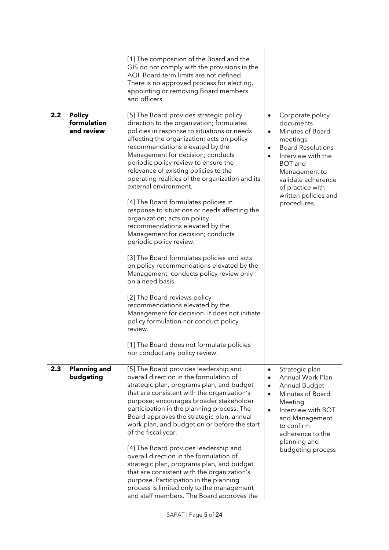|     |                                            | [1] The composition of the Board and the<br>GIS do not comply with the provisions in the<br>AOI. Board term limits are not defined.<br>There is no approved process for electing,<br>appointing or removing Board members<br>and officers.                                                                                                                                                                                                                                                                                                                                                                                                                                                                                                                                                                                                                                                                                                                                                                                                                          |                                                  |                                                                                                                                                                                                                                     |
|-----|--------------------------------------------|---------------------------------------------------------------------------------------------------------------------------------------------------------------------------------------------------------------------------------------------------------------------------------------------------------------------------------------------------------------------------------------------------------------------------------------------------------------------------------------------------------------------------------------------------------------------------------------------------------------------------------------------------------------------------------------------------------------------------------------------------------------------------------------------------------------------------------------------------------------------------------------------------------------------------------------------------------------------------------------------------------------------------------------------------------------------|--------------------------------------------------|-------------------------------------------------------------------------------------------------------------------------------------------------------------------------------------------------------------------------------------|
| 2.2 | <b>Policy</b><br>formulation<br>and review | [5] The Board provides strategic policy<br>direction to the organization; formulates<br>policies in response to situations or needs<br>affecting the organization; acts on policy<br>recommendations elevated by the<br>Management for decision; conducts<br>periodic policy review to ensure the<br>relevance of existing policies to the<br>operating realities of the organization and its<br>external environment.<br>[4] The Board formulates policies in<br>response to situations or needs affecting the<br>organization; acts on policy<br>recommendations elevated by the<br>Management for decision; conducts<br>periodic policy review.<br>[3] The Board formulates policies and acts<br>on policy recommendations elevated by the<br>Management; conducts policy review only<br>on a need basis.<br>[2] The Board reviews policy<br>recommendations elevated by the<br>Management for decision. It does not initiate<br>policy formulation nor conduct policy<br>review.<br>[1] The Board does not formulate policies<br>nor conduct any policy review. | $\bullet$<br>$\bullet$<br>$\bullet$<br>$\bullet$ | Corporate policy<br>documents<br>Minutes of Board<br>meetings<br><b>Board Resolutions</b><br>Interview with the<br><b>BOT</b> and<br>Management to<br>validate adherence<br>of practice with<br>written policies and<br>procedures. |
| 2.3 | <b>Planning and</b><br>budgeting           | [5] The Board provides leadership and<br>overall direction in the formulation of<br>strategic plan, programs plan, and budget<br>that are consistent with the organization's<br>purpose; encourages broader stakeholder<br>participation in the planning process. The<br>Board approves the strategic plan, annual<br>work plan, and budget on or before the start<br>of the fiscal year.<br>[4] The Board provides leadership and<br>overall direction in the formulation of<br>strategic plan, programs plan, and budget<br>that are consistent with the organization's<br>purpose. Participation in the planning<br>process is limited only to the management<br>and staff members. The Board approves the                                                                                                                                                                                                                                                                                                                                                       | $\bullet$<br>$\bullet$<br>$\bullet$<br>$\bullet$ | Strategic plan<br>Annual Work Plan<br>Annual Budget<br>Minutes of Board<br>Meeting<br>Interview with BOT<br>and Management<br>to confirm<br>adherence to the<br>planning and<br>budgeting process                                   |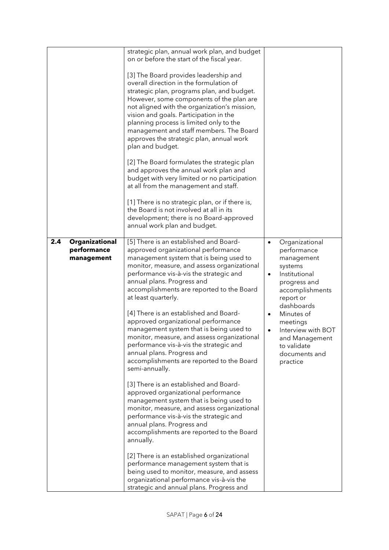|     |                                             | strategic plan, annual work plan, and budget<br>on or before the start of the fiscal year.<br>[3] The Board provides leadership and<br>overall direction in the formulation of<br>strategic plan, programs plan, and budget.<br>However, some components of the plan are<br>not aligned with the organization's mission,<br>vision and goals. Participation in the<br>planning process is limited only to the<br>management and staff members. The Board<br>approves the strategic plan, annual work<br>plan and budget.<br>[2] The Board formulates the strategic plan<br>and approves the annual work plan and<br>budget with very limited or no participation<br>at all from the management and staff.<br>[1] There is no strategic plan, or if there is,<br>the Board is not involved at all in its<br>development; there is no Board-approved<br>annual work plan and budget.                                                                                                                                                                                                                                                                                                 |                                                                                                                                                                                                                                                                                                         |
|-----|---------------------------------------------|------------------------------------------------------------------------------------------------------------------------------------------------------------------------------------------------------------------------------------------------------------------------------------------------------------------------------------------------------------------------------------------------------------------------------------------------------------------------------------------------------------------------------------------------------------------------------------------------------------------------------------------------------------------------------------------------------------------------------------------------------------------------------------------------------------------------------------------------------------------------------------------------------------------------------------------------------------------------------------------------------------------------------------------------------------------------------------------------------------------------------------------------------------------------------------|---------------------------------------------------------------------------------------------------------------------------------------------------------------------------------------------------------------------------------------------------------------------------------------------------------|
| 2.4 | Organizational<br>performance<br>management | [5] There is an established and Board-<br>approved organizational performance<br>management system that is being used to<br>monitor, measure, and assess organizational<br>performance vis-à-vis the strategic and<br>annual plans. Progress and<br>accomplishments are reported to the Board<br>at least quarterly.<br>[4] There is an established and Board-<br>approved organizational performance<br>management system that is being used to<br>monitor, measure, and assess organizational<br>performance vis-à-vis the strategic and<br>annual plans. Progress and<br>accomplishments are reported to the Board<br>semi-annually.<br>[3] There is an established and Board-<br>approved organizational performance<br>management system that is being used to<br>monitor, measure, and assess organizational<br>performance vis-à-vis the strategic and<br>annual plans. Progress and<br>accomplishments are reported to the Board<br>annually.<br>[2] There is an established organizational<br>performance management system that is<br>being used to monitor, measure, and assess<br>organizational performance vis-à-vis the<br>strategic and annual plans. Progress and | Organizational<br>$\bullet$<br>performance<br>management<br>systems<br>Institutional<br>$\bullet$<br>progress and<br>accomplishments<br>report or<br>dashboards<br>Minutes of<br>$\bullet$<br>meetings<br>Interview with BOT<br>$\bullet$<br>and Management<br>to validate<br>documents and<br>practice |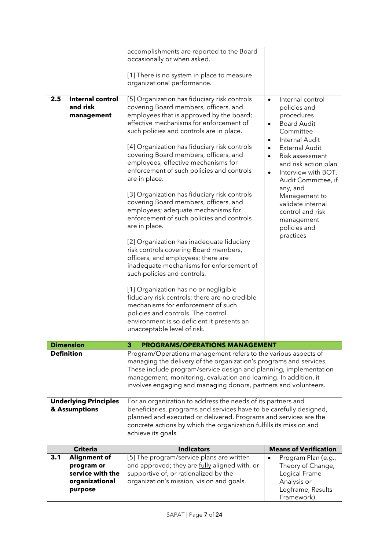|                                | accomplishments are reported to the Board<br>occasionally or when asked.                                                            |                                          |  |
|--------------------------------|-------------------------------------------------------------------------------------------------------------------------------------|------------------------------------------|--|
|                                |                                                                                                                                     |                                          |  |
|                                | [1] There is no system in place to measure                                                                                          |                                          |  |
|                                | organizational performance.                                                                                                         |                                          |  |
| 2.5<br><b>Internal control</b> | [5] Organization has fiduciary risk controls                                                                                        | Internal control<br>$\bullet$            |  |
| and risk                       | covering Board members, officers, and                                                                                               | policies and                             |  |
| management                     | employees that is approved by the board;                                                                                            | procedures                               |  |
|                                | effective mechanisms for enforcement of                                                                                             | <b>Board Audit</b><br>$\bullet$          |  |
|                                | such policies and controls are in place.                                                                                            | Committee                                |  |
|                                |                                                                                                                                     | Internal Audit<br>$\bullet$              |  |
|                                | [4] Organization has fiduciary risk controls<br>covering Board members, officers, and                                               | <b>External Audit</b><br>Risk assessment |  |
|                                | employees; effective mechanisms for                                                                                                 | $\bullet$<br>and risk action plan        |  |
|                                | enforcement of such policies and controls                                                                                           | Interview with BOT,<br>$\bullet$         |  |
|                                | are in place.                                                                                                                       | Audit Committee, if                      |  |
|                                |                                                                                                                                     | any, and                                 |  |
|                                | [3] Organization has fiduciary risk controls<br>covering Board members, officers, and                                               | Management to                            |  |
|                                | employees; adequate mechanisms for                                                                                                  | validate internal<br>control and risk    |  |
|                                | enforcement of such policies and controls                                                                                           | management                               |  |
|                                | are in place.                                                                                                                       | policies and                             |  |
|                                |                                                                                                                                     | practices                                |  |
|                                | [2] Organization has inadequate fiduciary<br>risk controls covering Board members,                                                  |                                          |  |
|                                | officers, and employees; there are                                                                                                  |                                          |  |
|                                | inadequate mechanisms for enforcement of                                                                                            |                                          |  |
|                                | such policies and controls.                                                                                                         |                                          |  |
|                                |                                                                                                                                     |                                          |  |
|                                | [1] Organization has no or negligible<br>fiduciary risk controls; there are no credible                                             |                                          |  |
|                                | mechanisms for enforcement of such                                                                                                  |                                          |  |
|                                | policies and controls. The control                                                                                                  |                                          |  |
|                                | environment is so deficient it presents an                                                                                          |                                          |  |
|                                | unacceptable level of risk.                                                                                                         |                                          |  |
| <b>Dimension</b>               | <b>PROGRAMS/OPERATIONS MANAGEMENT</b><br>3                                                                                          |                                          |  |
| <b>Definition</b>              | Program/Operations management refers to the various aspects of                                                                      |                                          |  |
|                                | managing the delivery of the organization's programs and services.                                                                  |                                          |  |
|                                | These include program/service design and planning, implementation                                                                   |                                          |  |
|                                | management, monitoring, evaluation and learning. In addition, it<br>involves engaging and managing donors, partners and volunteers. |                                          |  |
|                                |                                                                                                                                     |                                          |  |
| <b>Underlying Principles</b>   | For an organization to address the needs of its partners and                                                                        |                                          |  |
| & Assumptions                  | beneficiaries, programs and services have to be carefully designed,                                                                 |                                          |  |
|                                | planned and executed or delivered. Programs and services are the                                                                    |                                          |  |
|                                |                                                                                                                                     |                                          |  |
|                                | concrete actions by which the organization fulfills its mission and                                                                 |                                          |  |
|                                | achieve its goals.                                                                                                                  |                                          |  |
| <b>Criteria</b>                | <b>Indicators</b>                                                                                                                   | <b>Means of Verification</b>             |  |
| 3.1<br><b>Alignment of</b>     | [5] The program/service plans are written                                                                                           | Program Plan (e.g.,<br>$\bullet$         |  |
| program or                     | and approved; they are <i>fully</i> aligned with, or                                                                                | Theory of Change,                        |  |
| service with the               | supportive of, or rationalized by the                                                                                               | Logical Frame                            |  |
| organizational<br>purpose      | organization's mission, vision and goals.                                                                                           | Analysis or<br>Logframe, Results         |  |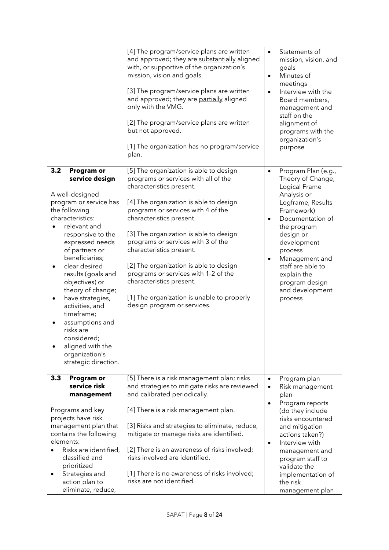| [2] The program/service plans are written<br>but not approved.<br>[1] The organization has no program/service<br>plan.                                                                                                                                                                                                                                                                                                                                                                                                        |                                                  | Board members,<br>management and<br>staff on the<br>alignment of<br>programs with the<br>organization's<br>purpose                                                                                                                                                                          |
|-------------------------------------------------------------------------------------------------------------------------------------------------------------------------------------------------------------------------------------------------------------------------------------------------------------------------------------------------------------------------------------------------------------------------------------------------------------------------------------------------------------------------------|--------------------------------------------------|---------------------------------------------------------------------------------------------------------------------------------------------------------------------------------------------------------------------------------------------------------------------------------------------|
| [5] The organization is able to design<br>programs or services with all of the<br>characteristics present.<br>[4] The organization is able to design<br>programs or services with 4 of the<br>characteristics present.<br>[3] The organization is able to design<br>programs or services with 3 of the<br>characteristics present.<br>[2] The organization is able to design<br>programs or services with 1-2 of the<br>characteristics present.<br>[1] The organization is unable to properly<br>design program or services. | $\bullet$<br>$\bullet$<br>$\bullet$              | Program Plan (e.g.,<br>Theory of Change,<br>Logical Frame<br>Analysis or<br>Logframe, Results<br>Framework)<br>Documentation of<br>the program<br>design or<br>development<br>process<br>Management and<br>staff are able to<br>explain the<br>program design<br>and development<br>process |
| [5] There is a risk management plan; risks<br>and strategies to mitigate risks are reviewed<br>and calibrated periodically.<br>[4] There is a risk management plan.<br>[3] Risks and strategies to eliminate, reduce,<br>mitigate or manage risks are identified.<br>[2] There is an awareness of risks involved;<br>risks involved are identified.<br>[1] There is no awareness of risks involved;                                                                                                                           | $\bullet$<br>$\bullet$<br>$\bullet$<br>$\bullet$ | Program plan<br>Risk management<br>plan<br>Program reports<br>(do they include<br>risks encountered<br>and mitigation<br>actions taken?)<br>Interview with<br>management and<br>program staff to<br>validate the<br>implementation of                                                       |
|                                                                                                                                                                                                                                                                                                                                                                                                                                                                                                                               | risks are not identified.                        | and approved; they are partially aligned<br>only with the VMG.                                                                                                                                                                                                                              |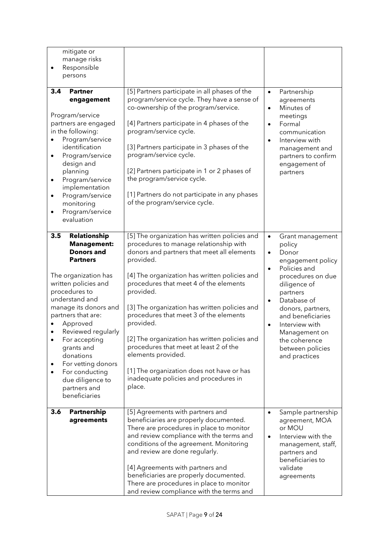| mitigate or<br>manage risks<br>Responsible<br>$\bullet$<br>persons<br>3.4<br><b>Partner</b>                                                                                                                                                                                                                                                                                                    | [5] Partners participate in all phases of the                                                                                                                                                                                                                                                                                                                                                                                                                                                                                                                                       | Partnership<br>$\bullet$                                                                                                                                                                                                                                                                                                                     |
|------------------------------------------------------------------------------------------------------------------------------------------------------------------------------------------------------------------------------------------------------------------------------------------------------------------------------------------------------------------------------------------------|-------------------------------------------------------------------------------------------------------------------------------------------------------------------------------------------------------------------------------------------------------------------------------------------------------------------------------------------------------------------------------------------------------------------------------------------------------------------------------------------------------------------------------------------------------------------------------------|----------------------------------------------------------------------------------------------------------------------------------------------------------------------------------------------------------------------------------------------------------------------------------------------------------------------------------------------|
| engagement<br>Program/service<br>partners are engaged<br>in the following:<br>Program/service<br>identification<br>Program/service<br>$\bullet$<br>design and<br>planning<br>Program/service<br>$\bullet$<br>implementation<br>Program/service<br>$\bullet$<br>monitoring<br>Program/service<br>evaluation                                                                                     | program/service cycle. They have a sense of<br>co-ownership of the program/service.<br>[4] Partners participate in 4 phases of the<br>program/service cycle.<br>[3] Partners participate in 3 phases of the<br>program/service cycle.<br>[2] Partners participate in 1 or 2 phases of<br>the program/service cycle.<br>[1] Partners do not participate in any phases<br>of the program/service cycle.                                                                                                                                                                               | agreements<br>Minutes of<br>$\bullet$<br>meetings<br>Formal<br>$\bullet$<br>communication<br>Interview with<br>$\bullet$<br>management and<br>partners to confirm<br>engagement of<br>partners                                                                                                                                               |
| Relationship<br>3.5<br><b>Management:</b><br><b>Donors and</b><br><b>Partners</b><br>The organization has<br>written policies and<br>procedures to<br>understand and<br>manage its donors and<br>partners that are:<br>Approved<br>Reviewed regularly<br>For accepting<br>grants and<br>donations<br>For vetting donors<br>For conducting<br>due diligence to<br>partners and<br>beneficiaries | [5] The organization has written policies and<br>procedures to manage relationship with<br>donors and partners that meet all elements<br>provided.<br>[4] The organization has written policies and<br>procedures that meet 4 of the elements<br>provided.<br>[3] The organization has written policies and<br>procedures that meet 3 of the elements<br>provided.<br>[2] The organization has written policies and<br>procedures that meet at least 2 of the<br>elements provided.<br>[1] The organization does not have or has<br>inadequate policies and procedures in<br>place. | Grant management<br>$\bullet$<br>policy<br>Donor<br>$\bullet$<br>engagement policy<br>Policies and<br>$\bullet$<br>procedures on due<br>diligence of<br>partners<br>Database of<br>$\bullet$<br>donors, partners,<br>and beneficiaries<br>Interview with<br>$\bullet$<br>Management on<br>the coherence<br>between policies<br>and practices |
| Partnership<br>3.6<br>agreements                                                                                                                                                                                                                                                                                                                                                               | [5] Agreements with partners and<br>beneficiaries are properly documented.<br>There are procedures in place to monitor<br>and review compliance with the terms and<br>conditions of the agreement. Monitoring<br>and review are done regularly.<br>[4] Agreements with partners and<br>beneficiaries are properly documented.<br>There are procedures in place to monitor<br>and review compliance with the terms and                                                                                                                                                               | Sample partnership<br>$\bullet$<br>agreement, MOA<br>or MOU<br>Interview with the<br>$\bullet$<br>management, staff,<br>partners and<br>beneficiaries to<br>validate<br>agreements                                                                                                                                                           |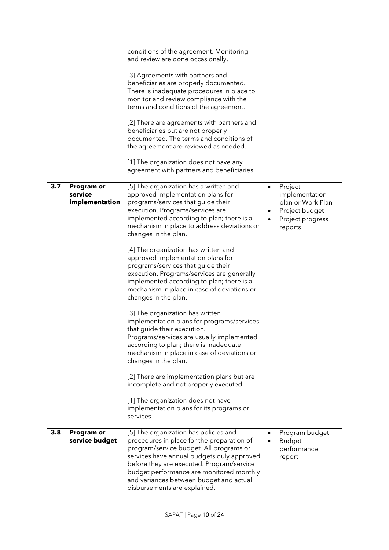|     |                                         | conditions of the agreement. Monitoring<br>and review are done occasionally.<br>[3] Agreements with partners and<br>beneficiaries are properly documented.<br>There is inadequate procedures in place to<br>monitor and review compliance with the<br>terms and conditions of the agreement.<br>[2] There are agreements with partners and<br>beneficiaries but are not properly<br>documented. The terms and conditions of<br>the agreement are reviewed as needed.<br>[1] The organization does not have any<br>agreement with partners and beneficiaries.                                                                                                                                                                                                                                                                                                                                                                                                                                                                        |                |                                                                                                 |
|-----|-----------------------------------------|-------------------------------------------------------------------------------------------------------------------------------------------------------------------------------------------------------------------------------------------------------------------------------------------------------------------------------------------------------------------------------------------------------------------------------------------------------------------------------------------------------------------------------------------------------------------------------------------------------------------------------------------------------------------------------------------------------------------------------------------------------------------------------------------------------------------------------------------------------------------------------------------------------------------------------------------------------------------------------------------------------------------------------------|----------------|-------------------------------------------------------------------------------------------------|
| 3.7 | Program or<br>service<br>implementation | [5] The organization has a written and<br>approved implementation plans for<br>programs/services that guide their<br>execution. Programs/services are<br>implemented according to plan; there is a<br>mechanism in place to address deviations or<br>changes in the plan.<br>[4] The organization has written and<br>approved implementation plans for<br>programs/services that guide their<br>execution. Programs/services are generally<br>implemented according to plan; there is a<br>mechanism in place in case of deviations or<br>changes in the plan.<br>[3] The organization has written<br>implementation plans for programs/services<br>that guide their execution.<br>Programs/services are usually implemented<br>according to plan; there is inadequate<br>mechanism in place in case of deviations or<br>changes in the plan.<br>[2] There are implementation plans but are<br>incomplete and not properly executed.<br>[1] The organization does not have<br>implementation plans for its programs or<br>services. | $\bullet$<br>٠ | Project<br>implementation<br>plan or Work Plan<br>Project budget<br>Project progress<br>reports |
| 3.8 | Program or<br>service budget            | [5] The organization has policies and<br>procedures in place for the preparation of<br>program/service budget. All programs or<br>services have annual budgets duly approved<br>before they are executed. Program/service<br>budget performance are monitored monthly<br>and variances between budget and actual<br>disbursements are explained.                                                                                                                                                                                                                                                                                                                                                                                                                                                                                                                                                                                                                                                                                    | $\bullet$      | Program budget<br><b>Budget</b><br>performance<br>report                                        |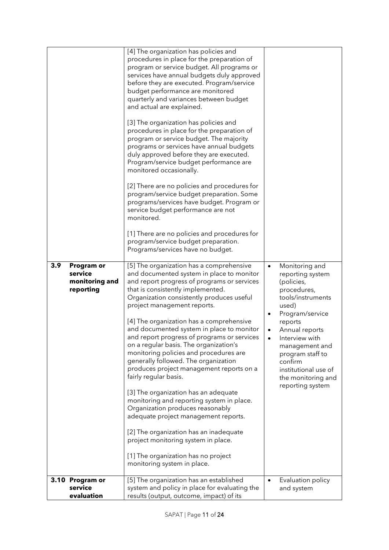| 3.9<br>Program or<br>service<br>monitoring and<br>reporting<br>3.10 Program or | [4] The organization has policies and<br>procedures in place for the preparation of<br>program or service budget. All programs or<br>services have annual budgets duly approved<br>before they are executed. Program/service<br>budget performance are monitored<br>quarterly and variances between budget<br>and actual are explained.<br>[3] The organization has policies and<br>procedures in place for the preparation of<br>program or service budget. The majority<br>programs or services have annual budgets<br>duly approved before they are executed.<br>Program/service budget performance are<br>monitored occasionally.<br>[2] There are no policies and procedures for<br>program/service budget preparation. Some<br>programs/services have budget. Program or<br>service budget performance are not<br>monitored.<br>[1] There are no policies and procedures for<br>program/service budget preparation.<br>Programs/services have no budget.<br>[5] The organization has a comprehensive<br>and documented system in place to monitor<br>and report progress of programs or services<br>that is consistently implemented.<br>Organization consistently produces useful<br>project management reports.<br>[4] The organization has a comprehensive<br>and documented system in place to monitor<br>and report progress of programs or services<br>on a regular basis. The organization's<br>monitoring policies and procedures are<br>generally followed. The organization<br>produces project management reports on a<br>fairly regular basis.<br>[3] The organization has an adequate<br>monitoring and reporting system in place.<br>Organization produces reasonably<br>adequate project management reports.<br>[2] The organization has an inadequate<br>project monitoring system in place.<br>[1] The organization has no project<br>monitoring system in place.<br>[5] The organization has an established | Monitoring and<br>$\bullet$<br>reporting system<br>(policies,<br>procedures,<br>tools/instruments<br>used)<br>Program/service<br>$\bullet$<br>reports<br>Annual reports<br>$\bullet$<br>Interview with<br>management and<br>program staff to<br>confirm<br>institutional use of<br>the monitoring and<br>reporting system<br>Evaluation policy<br>$\bullet$ |
|--------------------------------------------------------------------------------|-------------------------------------------------------------------------------------------------------------------------------------------------------------------------------------------------------------------------------------------------------------------------------------------------------------------------------------------------------------------------------------------------------------------------------------------------------------------------------------------------------------------------------------------------------------------------------------------------------------------------------------------------------------------------------------------------------------------------------------------------------------------------------------------------------------------------------------------------------------------------------------------------------------------------------------------------------------------------------------------------------------------------------------------------------------------------------------------------------------------------------------------------------------------------------------------------------------------------------------------------------------------------------------------------------------------------------------------------------------------------------------------------------------------------------------------------------------------------------------------------------------------------------------------------------------------------------------------------------------------------------------------------------------------------------------------------------------------------------------------------------------------------------------------------------------------------------------------------------------------------------------------------------------------------------------|-------------------------------------------------------------------------------------------------------------------------------------------------------------------------------------------------------------------------------------------------------------------------------------------------------------------------------------------------------------|
| service<br>evaluation                                                          | system and policy in place for evaluating the<br>results (output, outcome, impact) of its                                                                                                                                                                                                                                                                                                                                                                                                                                                                                                                                                                                                                                                                                                                                                                                                                                                                                                                                                                                                                                                                                                                                                                                                                                                                                                                                                                                                                                                                                                                                                                                                                                                                                                                                                                                                                                           | and system                                                                                                                                                                                                                                                                                                                                                  |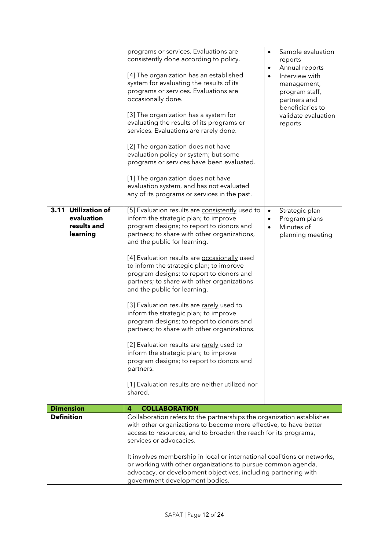|                                                              | programs or services. Evaluations are<br>consistently done according to policy.<br>[4] The organization has an established<br>system for evaluating the results of its<br>programs or services. Evaluations are<br>occasionally done.<br>[3] The organization has a system for<br>evaluating the results of its programs or<br>services. Evaluations are rarely done.<br>[2] The organization does not have<br>evaluation policy or system; but some<br>programs or services have been evaluated.<br>[1] The organization does not have<br>evaluation system, and has not evaluated<br>any of its programs or services in the past.                                                                                                                                                                                                        | $\bullet$<br>$\bullet$<br>$\bullet$ | Sample evaluation<br>reports<br>Annual reports<br>Interview with<br>management,<br>program staff,<br>partners and<br>beneficiaries to<br>validate evaluation<br>reports |
|--------------------------------------------------------------|--------------------------------------------------------------------------------------------------------------------------------------------------------------------------------------------------------------------------------------------------------------------------------------------------------------------------------------------------------------------------------------------------------------------------------------------------------------------------------------------------------------------------------------------------------------------------------------------------------------------------------------------------------------------------------------------------------------------------------------------------------------------------------------------------------------------------------------------|-------------------------------------|-------------------------------------------------------------------------------------------------------------------------------------------------------------------------|
| 3.11 Utilization of<br>evaluation<br>results and<br>learning | [5] Evaluation results are consistently used to<br>inform the strategic plan; to improve<br>program designs; to report to donors and<br>partners; to share with other organizations,<br>and the public for learning.<br>[4] Evaluation results are occasionally used<br>to inform the strategic plan; to improve<br>program designs; to report to donors and<br>partners; to share with other organizations<br>and the public for learning.<br>[3] Evaluation results are rarely used to<br>inform the strategic plan; to improve<br>program designs; to report to donors and<br>partners; to share with other organizations.<br>[2] Evaluation results are rarely used to<br>inform the strategic plan; to improve<br>program designs; to report to donors and<br>partners.<br>[1] Evaluation results are neither utilized nor<br>shared. | $\bullet$<br>٠<br>$\bullet$         | Strategic plan<br>Program plans<br>Minutes of<br>planning meeting                                                                                                       |
| <b>Dimension</b>                                             | <b>COLLABORATION</b><br>4                                                                                                                                                                                                                                                                                                                                                                                                                                                                                                                                                                                                                                                                                                                                                                                                                  |                                     |                                                                                                                                                                         |
| <b>Definition</b>                                            | Collaboration refers to the partnerships the organization establishes<br>with other organizations to become more effective, to have better<br>access to resources, and to broaden the reach for its programs,<br>services or advocacies.<br>It involves membership in local or international coalitions or networks,<br>or working with other organizations to pursue common agenda,<br>advocacy, or development objectives, including partnering with<br>government development bodies.                                                                                                                                                                                                                                                                                                                                                   |                                     |                                                                                                                                                                         |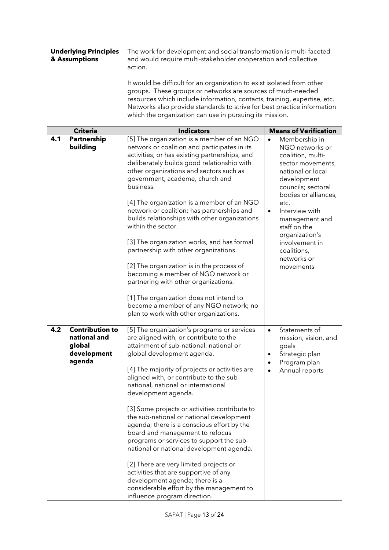| <b>Underlying Principles</b><br>& Assumptions |                                                                           | The work for development and social transformation is multi-faceted<br>and would require multi-stakeholder cooperation and collective<br>action.                                                                                                                                                                                                                                                                                                                                                                                                                                                                                                                                                                                                                                                 |                                                                                                                                                                                                                                                    |  |
|-----------------------------------------------|---------------------------------------------------------------------------|--------------------------------------------------------------------------------------------------------------------------------------------------------------------------------------------------------------------------------------------------------------------------------------------------------------------------------------------------------------------------------------------------------------------------------------------------------------------------------------------------------------------------------------------------------------------------------------------------------------------------------------------------------------------------------------------------------------------------------------------------------------------------------------------------|----------------------------------------------------------------------------------------------------------------------------------------------------------------------------------------------------------------------------------------------------|--|
|                                               |                                                                           | It would be difficult for an organization to exist isolated from other<br>groups. These groups or networks are sources of much-needed<br>resources which include information, contacts, training, expertise, etc.<br>Networks also provide standards to strive for best practice information<br>which the organization can use in pursuing its mission.                                                                                                                                                                                                                                                                                                                                                                                                                                          |                                                                                                                                                                                                                                                    |  |
|                                               | <b>Criteria</b>                                                           | <b>Indicators</b>                                                                                                                                                                                                                                                                                                                                                                                                                                                                                                                                                                                                                                                                                                                                                                                | <b>Means of Verification</b>                                                                                                                                                                                                                       |  |
| 4.1                                           | Partnership<br>building                                                   | [5] The organization is a member of an NGO<br>network or coalition and participates in its<br>activities, or has existing partnerships, and<br>deliberately builds good relationship with<br>other organizations and sectors such as<br>government, academe, church and<br>business.<br>[4] The organization is a member of an NGO<br>network or coalition; has partnerships and<br>builds relationships with other organizations<br>within the sector.                                                                                                                                                                                                                                                                                                                                          | Membership in<br>$\bullet$<br>NGO networks or<br>coalition, multi-<br>sector movements,<br>national or local<br>development<br>councils; sectoral<br>bodies or alliances,<br>etc.<br>Interview with<br>$\bullet$<br>management and<br>staff on the |  |
|                                               |                                                                           | [3] The organization works, and has formal<br>partnership with other organizations.<br>[2] The organization is in the process of<br>becoming a member of NGO network or<br>partnering with other organizations.<br>[1] The organization does not intend to<br>become a member of any NGO network; no<br>plan to work with other organizations.                                                                                                                                                                                                                                                                                                                                                                                                                                                   | organization's<br>involvement in<br>coalitions,<br>networks or<br>movements                                                                                                                                                                        |  |
| 4.2                                           | <b>Contribution to</b><br>national and<br>global<br>development<br>agenda | [5] The organization's programs or services<br>are aligned with, or contribute to the<br>attainment of sub-national, national or<br>global development agenda.<br>[4] The majority of projects or activities are<br>aligned with, or contribute to the sub-<br>national, national or international<br>development agenda.<br>[3] Some projects or activities contribute to<br>the sub-national or national development<br>agenda; there is a conscious effort by the<br>board and management to refocus<br>programs or services to support the sub-<br>national or national development agenda.<br>[2] There are very limited projects or<br>activities that are supportive of any<br>development agenda; there is a<br>considerable effort by the management to<br>influence program direction. | Statements of<br>$\bullet$<br>mission, vision, and<br>goals<br>Strategic plan<br>٠<br>Program plan<br>٠<br>Annual reports                                                                                                                          |  |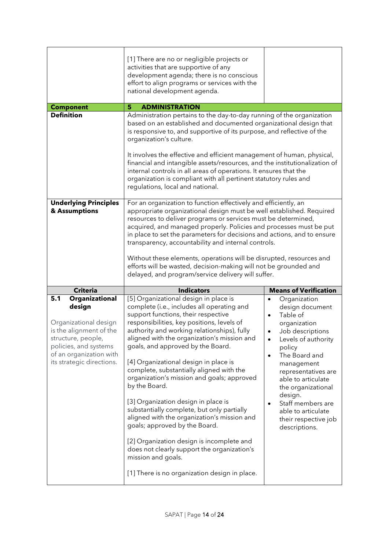|                                                                                                                                                                                            | [1] There are no or negligible projects or<br>activities that are supportive of any<br>development agenda; there is no conscious<br>effort to align programs or services with the<br>national development agenda.                                                                                                                                                                                                                                                                                                                                                                                                                                                                                                                                                                                       |                                                                                                                                                                                                                                                                                                                                                          |  |
|--------------------------------------------------------------------------------------------------------------------------------------------------------------------------------------------|---------------------------------------------------------------------------------------------------------------------------------------------------------------------------------------------------------------------------------------------------------------------------------------------------------------------------------------------------------------------------------------------------------------------------------------------------------------------------------------------------------------------------------------------------------------------------------------------------------------------------------------------------------------------------------------------------------------------------------------------------------------------------------------------------------|----------------------------------------------------------------------------------------------------------------------------------------------------------------------------------------------------------------------------------------------------------------------------------------------------------------------------------------------------------|--|
| <b>Component</b>                                                                                                                                                                           | 5<br><b>ADMINISTRATION</b>                                                                                                                                                                                                                                                                                                                                                                                                                                                                                                                                                                                                                                                                                                                                                                              |                                                                                                                                                                                                                                                                                                                                                          |  |
| <b>Definition</b><br><b>Underlying Principles</b>                                                                                                                                          | Administration pertains to the day-to-day running of the organization<br>based on an established and documented organizational design that<br>is responsive to, and supportive of its purpose, and reflective of the<br>organization's culture.<br>It involves the effective and efficient management of human, physical,<br>financial and intangible assets/resources, and the institutionalization of<br>internal controls in all areas of operations. It ensures that the<br>organization is compliant with all pertinent statutory rules and<br>regulations, local and national.                                                                                                                                                                                                                    |                                                                                                                                                                                                                                                                                                                                                          |  |
| & Assumptions                                                                                                                                                                              | For an organization to function effectively and efficiently, an<br>appropriate organizational design must be well established. Required<br>resources to deliver programs or services must be determined,<br>acquired, and managed properly. Policies and processes must be put<br>in place to set the parameters for decisions and actions, and to ensure<br>transparency, accountability and internal controls.<br>Without these elements, operations will be disrupted, resources and<br>efforts will be wasted, decision-making will not be grounded and<br>delayed, and program/service delivery will suffer.                                                                                                                                                                                       |                                                                                                                                                                                                                                                                                                                                                          |  |
| <b>Criteria</b>                                                                                                                                                                            | <b>Indicators</b>                                                                                                                                                                                                                                                                                                                                                                                                                                                                                                                                                                                                                                                                                                                                                                                       | <b>Means of Verification</b>                                                                                                                                                                                                                                                                                                                             |  |
| 5.1<br>Organizational<br>design<br>Organizational design<br>is the alignment of the<br>structure, people,<br>policies, and systems<br>of an organization with<br>its strategic directions. | [5] Organizational design in place is<br>complete (i.e., includes all operating and<br>support functions, their respective<br>responsibilities, key positions, levels of<br>authority and working relationships), fully<br>aligned with the organization's mission and<br>goals, and approved by the Board.<br>[4] Organizational design in place is<br>complete, substantially aligned with the<br>organization's mission and goals; approved<br>by the Board.<br>[3] Organization design in place is<br>substantially complete, but only partially<br>aligned with the organization's mission and<br>goals; approved by the Board.<br>[2] Organization design is incomplete and<br>does not clearly support the organization's<br>mission and goals.<br>[1] There is no organization design in place. | Organization<br>design document<br>Table of<br>$\bullet$<br>organization<br>Job descriptions<br>$\bullet$<br>Levels of authority<br>$\bullet$<br>policy<br>The Board and<br>management<br>representatives are<br>able to articulate<br>the organizational<br>design.<br>Staff members are<br>able to articulate<br>their respective job<br>descriptions. |  |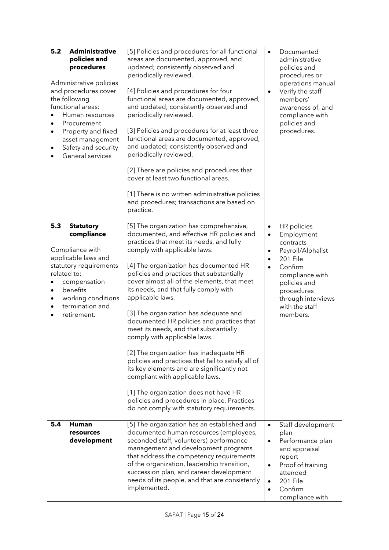| 5.2<br><b>Administrative</b><br>policies and<br>procedures<br>Administrative policies<br>and procedures cover<br>the following<br>functional areas:<br>Human resources<br>Procurement<br>$\bullet$<br>Property and fixed<br>$\bullet$<br>asset management<br>Safety and security<br>٠<br>General services | [5] Policies and procedures for all functional<br>areas are documented, approved, and<br>updated; consistently observed and<br>periodically reviewed.<br>[4] Policies and procedures for four<br>functional areas are documented, approved,<br>and updated; consistently observed and<br>periodically reviewed.<br>[3] Policies and procedures for at least three<br>functional areas are documented, approved,<br>and updated; consistently observed and<br>periodically reviewed.<br>[2] There are policies and procedures that<br>cover at least two functional areas.<br>[1] There is no written administrative policies<br>and procedures; transactions are based on<br>practice.                                                                                                                                                                     | $\bullet$<br>$\bullet$                                        | Documented<br>administrative<br>policies and<br>procedures or<br>operations manual<br>Verify the staff<br>members'<br>awareness of, and<br>compliance with<br>policies and<br>procedures. |
|-----------------------------------------------------------------------------------------------------------------------------------------------------------------------------------------------------------------------------------------------------------------------------------------------------------|------------------------------------------------------------------------------------------------------------------------------------------------------------------------------------------------------------------------------------------------------------------------------------------------------------------------------------------------------------------------------------------------------------------------------------------------------------------------------------------------------------------------------------------------------------------------------------------------------------------------------------------------------------------------------------------------------------------------------------------------------------------------------------------------------------------------------------------------------------|---------------------------------------------------------------|-------------------------------------------------------------------------------------------------------------------------------------------------------------------------------------------|
| 5.3<br><b>Statutory</b><br>compliance<br>Compliance with<br>applicable laws and<br>statutory requirements<br>related to:<br>compensation<br>benefits<br>$\bullet$<br>working conditions<br>$\bullet$<br>termination and<br>$\bullet$<br>retirement.                                                       | [5] The organization has comprehensive,<br>documented, and effective HR policies and<br>practices that meet its needs, and fully<br>comply with applicable laws.<br>[4] The organization has documented HR<br>policies and practices that substantially<br>cover almost all of the elements, that meet<br>its needs, and that fully comply with<br>applicable laws.<br>[3] The organization has adequate and<br>documented HR policies and practices that<br>meet its needs, and that substantially<br>comply with applicable laws.<br>[2] The organization has inadequate HR<br>policies and practices that fail to satisfy all of<br>its key elements and are significantly not<br>compliant with applicable laws.<br>[1] The organization does not have HR<br>policies and procedures in place. Practices<br>do not comply with statutory requirements. | $\bullet$<br>$\bullet$<br>$\bullet$<br>$\bullet$<br>$\bullet$ | HR policies<br>Employment<br>contracts<br>Payroll/Alphalist<br>201 File<br>Confirm<br>compliance with<br>policies and<br>procedures<br>through interviews<br>with the staff<br>members.   |
| 5.4<br><b>Human</b><br>resources<br>development                                                                                                                                                                                                                                                           | [5] The organization has an established and<br>documented human resources (employees,<br>seconded staff, volunteers) performance<br>management and development programs<br>that address the competency requirements<br>of the organization, leadership transition,<br>succession plan, and career development<br>needs of its people, and that are consistently<br>implemented.                                                                                                                                                                                                                                                                                                                                                                                                                                                                            | $\bullet$<br>$\bullet$<br>$\bullet$<br>$\bullet$<br>$\bullet$ | Staff development<br>plan<br>Performance plan<br>and appraisal<br>report<br>Proof of training<br>attended<br>201 File<br>Confirm<br>compliance with                                       |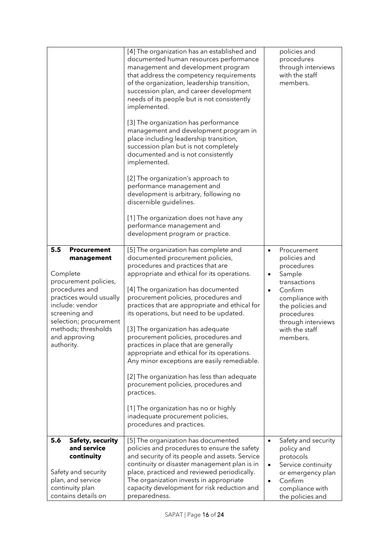|                                                                                                                                                                                                                                               | [4] The organization has an established and<br>documented human resources performance<br>management and development program<br>that address the competency requirements<br>of the organization, leadership transition,<br>succession plan, and career development<br>needs of its people but is not consistently<br>implemented.<br>[3] The organization has performance<br>management and development program in<br>place including leadership transition,<br>succession plan but is not completely<br>documented and is not consistently<br>implemented.<br>[2] The organization's approach to<br>performance management and<br>development is arbitrary, following no<br>discernible guidelines.<br>[1] The organization does not have any<br>performance management and<br>development program or practice. | policies and<br>procedures<br>through interviews<br>with the staff<br>members.                                                                                                                                                 |
|-----------------------------------------------------------------------------------------------------------------------------------------------------------------------------------------------------------------------------------------------|-----------------------------------------------------------------------------------------------------------------------------------------------------------------------------------------------------------------------------------------------------------------------------------------------------------------------------------------------------------------------------------------------------------------------------------------------------------------------------------------------------------------------------------------------------------------------------------------------------------------------------------------------------------------------------------------------------------------------------------------------------------------------------------------------------------------|--------------------------------------------------------------------------------------------------------------------------------------------------------------------------------------------------------------------------------|
| 5.5<br><b>Procurement</b><br>management<br>Complete<br>procurement policies,<br>procedures and<br>practices would usually<br>include: vendor<br>screening and<br>selection; procurement<br>methods; thresholds<br>and approving<br>authority. | [5] The organization has complete and<br>documented procurement policies,<br>procedures and practices that are<br>appropriate and ethical for its operations.<br>[4] The organization has documented<br>procurement policies, procedures and<br>practices that are appropriate and ethical for<br>its operations, but need to be updated.<br>[3] The organization has adequate<br>procurement policies, procedures and<br>practices in place that are generally<br>appropriate and ethical for its operations.<br>Any minor exceptions are easily remediable.<br>[2] The organization has less than adequate<br>procurement policies, procedures and<br>practices.<br>[1] The organization has no or highly<br>inadequate procurement policies,<br>procedures and practices.                                    | Procurement<br>$\bullet$<br>policies and<br>procedures<br>Sample<br>$\bullet$<br>transactions<br>Confirm<br>$\bullet$<br>compliance with<br>the policies and<br>procedures<br>through interviews<br>with the staff<br>members. |
| 5.6<br><b>Safety, security</b><br>and service<br>continuity<br>Safety and security<br>plan, and service<br>continuity plan<br>contains details on                                                                                             | [5] The organization has documented<br>policies and procedures to ensure the safety<br>and security of its people and assets. Service<br>continuity or disaster management plan is in<br>place, practiced and reviewed periodically.<br>The organization invests in appropriate<br>capacity development for risk reduction and<br>preparedness.                                                                                                                                                                                                                                                                                                                                                                                                                                                                 | Safety and security<br>$\bullet$<br>policy and<br>protocols<br>Service continuity<br>$\bullet$<br>or emergency plan<br>Confirm<br>$\bullet$<br>compliance with<br>the policies and                                             |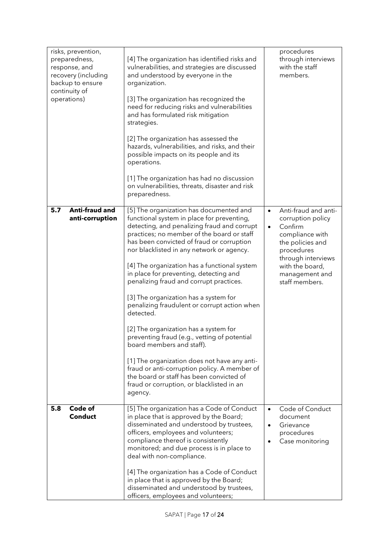| risks, prevention,<br>preparedness,<br>response, and<br>recovery (including<br>backup to ensure<br>continuity of<br>operations) | [4] The organization has identified risks and<br>vulnerabilities, and strategies are discussed<br>and understood by everyone in the<br>organization.<br>[3] The organization has recognized the<br>need for reducing risks and vulnerabilities<br>and has formulated risk mitigation<br>strategies.<br>[2] The organization has assessed the<br>hazards, vulnerabilities, and risks, and their<br>possible impacts on its people and its<br>operations.<br>[1] The organization has had no discussion<br>on vulnerabilities, threats, disaster and risk<br>preparedness.                                                                                                                                                                                                                                                                          | procedures<br>through interviews<br>with the staff<br>members.                                                                                                                                                   |
|---------------------------------------------------------------------------------------------------------------------------------|---------------------------------------------------------------------------------------------------------------------------------------------------------------------------------------------------------------------------------------------------------------------------------------------------------------------------------------------------------------------------------------------------------------------------------------------------------------------------------------------------------------------------------------------------------------------------------------------------------------------------------------------------------------------------------------------------------------------------------------------------------------------------------------------------------------------------------------------------|------------------------------------------------------------------------------------------------------------------------------------------------------------------------------------------------------------------|
| Anti-fraud and<br>5.7<br>anti-corruption                                                                                        | [5] The organization has documented and<br>functional system in place for preventing,<br>detecting, and penalizing fraud and corrupt<br>practices; no member of the board or staff<br>has been convicted of fraud or corruption<br>nor blacklisted in any network or agency.<br>[4] The organization has a functional system<br>in place for preventing, detecting and<br>penalizing fraud and corrupt practices.<br>[3] The organization has a system for<br>penalizing fraudulent or corrupt action when<br>detected.<br>[2] The organization has a system for<br>preventing fraud (e.g., vetting of potential<br>board members and staff).<br>[1] The organization does not have any anti-<br>fraud or anti-corruption policy. A member of<br>the board or staff has been convicted of<br>fraud or corruption, or blacklisted in an<br>agency. | Anti-fraud and anti-<br>$\bullet$<br>corruption policy<br>Confirm<br>$\bullet$<br>compliance with<br>the policies and<br>procedures<br>through interviews<br>with the board,<br>management and<br>staff members. |
| Code of<br>5.8<br><b>Conduct</b>                                                                                                | [5] The organization has a Code of Conduct<br>in place that is approved by the Board;<br>disseminated and understood by trustees,<br>officers, employees and volunteers;<br>compliance thereof is consistently<br>monitored; and due process is in place to<br>deal with non-compliance.<br>[4] The organization has a Code of Conduct<br>in place that is approved by the Board;<br>disseminated and understood by trustees,<br>officers, employees and volunteers;                                                                                                                                                                                                                                                                                                                                                                              | Code of Conduct<br>$\bullet$<br>document<br>Grievance<br>$\bullet$<br>procedures<br>Case monitoring                                                                                                              |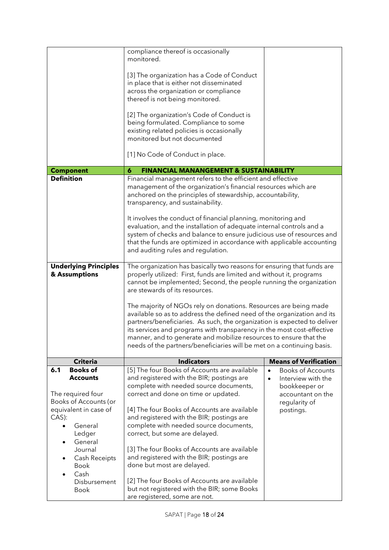|               |                                    | compliance thereof is occasionally                                                                                                                  |                                                                       |  |
|---------------|------------------------------------|-----------------------------------------------------------------------------------------------------------------------------------------------------|-----------------------------------------------------------------------|--|
|               |                                    | monitored.                                                                                                                                          |                                                                       |  |
|               |                                    | [3] The organization has a Code of Conduct                                                                                                          |                                                                       |  |
|               |                                    | in place that is either not disseminated                                                                                                            |                                                                       |  |
|               |                                    | across the organization or compliance                                                                                                               |                                                                       |  |
|               |                                    | thereof is not being monitored.                                                                                                                     |                                                                       |  |
|               |                                    |                                                                                                                                                     |                                                                       |  |
|               |                                    | [2] The organization's Code of Conduct is<br>being formulated. Compliance to some                                                                   |                                                                       |  |
|               |                                    | existing related policies is occasionally                                                                                                           |                                                                       |  |
|               |                                    | monitored but not documented                                                                                                                        |                                                                       |  |
|               |                                    |                                                                                                                                                     |                                                                       |  |
|               |                                    | [1] No Code of Conduct in place.                                                                                                                    |                                                                       |  |
|               | <b>Component</b>                   | <b>FINANCIAL MANANGEMENT &amp; SUSTAINABILITY</b><br>6                                                                                              |                                                                       |  |
|               | <b>Definition</b>                  | Financial management refers to the efficient and effective                                                                                          |                                                                       |  |
|               |                                    | management of the organization's financial resources which are                                                                                      |                                                                       |  |
|               |                                    | anchored on the principles of stewardship, accountability,                                                                                          |                                                                       |  |
|               |                                    | transparency, and sustainability.                                                                                                                   |                                                                       |  |
|               |                                    | It involves the conduct of financial planning, monitoring and                                                                                       |                                                                       |  |
|               |                                    | evaluation, and the installation of adequate internal controls and a                                                                                |                                                                       |  |
|               |                                    | system of checks and balance to ensure judicious use of resources and                                                                               |                                                                       |  |
|               |                                    | that the funds are optimized in accordance with applicable accounting                                                                               |                                                                       |  |
|               |                                    | and auditing rules and regulation.                                                                                                                  |                                                                       |  |
|               | <b>Underlying Principles</b>       | The organization has basically two reasons for ensuring that funds are                                                                              |                                                                       |  |
| & Assumptions |                                    |                                                                                                                                                     |                                                                       |  |
|               |                                    | properly utilized: First, funds are limited and without it, programs                                                                                |                                                                       |  |
|               |                                    | cannot be implemented; Second, the people running the organization                                                                                  |                                                                       |  |
|               |                                    | are stewards of its resources.                                                                                                                      |                                                                       |  |
|               |                                    |                                                                                                                                                     |                                                                       |  |
|               |                                    | The majority of NGOs rely on donations. Resources are being made                                                                                    |                                                                       |  |
|               |                                    | available so as to address the defined need of the organization and its<br>partners/beneficiaries. As such, the organization is expected to deliver |                                                                       |  |
|               |                                    | its services and programs with transparency in the most cost-effective                                                                              |                                                                       |  |
|               |                                    | manner, and to generate and mobilize resources to ensure that the                                                                                   |                                                                       |  |
|               |                                    | needs of the partners/beneficiaries will be met on a continuing basis.                                                                              |                                                                       |  |
|               |                                    |                                                                                                                                                     |                                                                       |  |
| 6.1           | <b>Criteria</b><br><b>Books of</b> | <b>Indicators</b><br>[5] The four Books of Accounts are available                                                                                   | <b>Means of Verification</b><br><b>Books of Accounts</b><br>$\bullet$ |  |
|               | <b>Accounts</b>                    | and registered with the BIR; postings are                                                                                                           | Interview with the<br>$\bullet$                                       |  |
|               |                                    | complete with needed source documents,                                                                                                              | bookkeeper or                                                         |  |
|               | The required four                  | correct and done on time or updated.                                                                                                                | accountant on the                                                     |  |
|               | Books of Accounts (or              |                                                                                                                                                     | regularity of                                                         |  |
|               | equivalent in case of              | [4] The four Books of Accounts are available                                                                                                        | postings.                                                             |  |
| CAS):         | General                            | and registered with the BIR; postings are<br>complete with needed source documents,                                                                 |                                                                       |  |
|               | Ledger                             | correct, but some are delayed.                                                                                                                      |                                                                       |  |
|               | General                            |                                                                                                                                                     |                                                                       |  |
|               | Journal                            | [3] The four Books of Accounts are available                                                                                                        |                                                                       |  |
|               | Cash Receipts                      | and registered with the BIR; postings are                                                                                                           |                                                                       |  |
|               | <b>Book</b>                        | done but most are delayed.                                                                                                                          |                                                                       |  |
|               | Cash                               |                                                                                                                                                     |                                                                       |  |
|               | Disbursement<br>Book               | [2] The four Books of Accounts are available<br>but not registered with the BIR; some Books                                                         |                                                                       |  |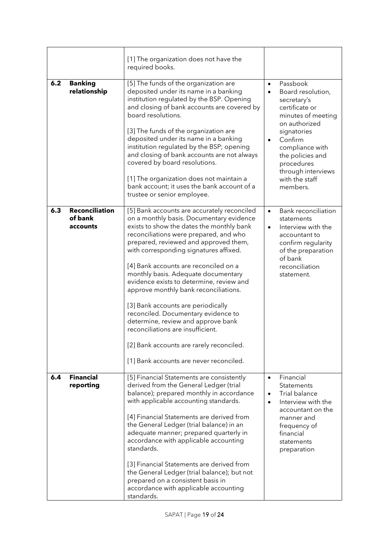|     |                                              | [1] The organization does not have the<br>required books.                                                                                                                                                                                                                                                                                                                                                                                                                                                                                                                                                                                                                             |                                                                                                                                                                                                                                                                    |
|-----|----------------------------------------------|---------------------------------------------------------------------------------------------------------------------------------------------------------------------------------------------------------------------------------------------------------------------------------------------------------------------------------------------------------------------------------------------------------------------------------------------------------------------------------------------------------------------------------------------------------------------------------------------------------------------------------------------------------------------------------------|--------------------------------------------------------------------------------------------------------------------------------------------------------------------------------------------------------------------------------------------------------------------|
| 6.2 | <b>Banking</b><br>relationship               | [5] The funds of the organization are<br>deposited under its name in a banking<br>institution regulated by the BSP. Opening<br>and closing of bank accounts are covered by<br>board resolutions.<br>[3] The funds of the organization are<br>deposited under its name in a banking<br>institution regulated by the BSP; opening<br>and closing of bank accounts are not always<br>covered by board resolutions.<br>[1] The organization does not maintain a<br>bank account; it uses the bank account of a<br>trustee or senior employee.                                                                                                                                             | Passbook<br>$\bullet$<br>Board resolution,<br>secretary's<br>certificate or<br>minutes of meeting<br>on authorized<br>signatories<br>Confirm<br>$\bullet$<br>compliance with<br>the policies and<br>procedures<br>through interviews<br>with the staff<br>members. |
| 6.3 | <b>Reconciliation</b><br>of bank<br>accounts | [5] Bank accounts are accurately reconciled<br>on a monthly basis. Documentary evidence<br>exists to show the dates the monthly bank<br>reconciliations were prepared, and who<br>prepared, reviewed and approved them,<br>with corresponding signatures affixed.<br>[4] Bank accounts are reconciled on a<br>monthly basis. Adequate documentary<br>evidence exists to determine, review and<br>approve monthly bank reconciliations.<br>[3] Bank accounts are periodically<br>reconciled. Documentary evidence to<br>determine, review and approve bank<br>reconciliations are insufficient.<br>[2] Bank accounts are rarely reconciled.<br>[1] Bank accounts are never reconciled. | <b>Bank reconciliation</b><br>$\bullet$<br>statements<br>Interview with the<br>$\bullet$<br>accountant to<br>confirm regularity<br>of the preparation<br>of bank<br>reconciliation<br>statement.                                                                   |
| 6.4 | <b>Financial</b><br>reporting                | [5] Financial Statements are consistently<br>derived from the General Ledger (trial<br>balance); prepared monthly in accordance<br>with applicable accounting standards.<br>[4] Financial Statements are derived from<br>the General Ledger (trial balance) in an<br>adequate manner; prepared quarterly in<br>accordance with applicable accounting<br>standards.<br>[3] Financial Statements are derived from<br>the General Ledger (trial balance); but not<br>prepared on a consistent basis in<br>accordance with applicable accounting<br>standards.                                                                                                                            | Financial<br>$\bullet$<br>Statements<br><b>Trial balance</b><br>$\bullet$<br>Interview with the<br>$\bullet$<br>accountant on the<br>manner and<br>frequency of<br>financial<br>statements<br>preparation                                                          |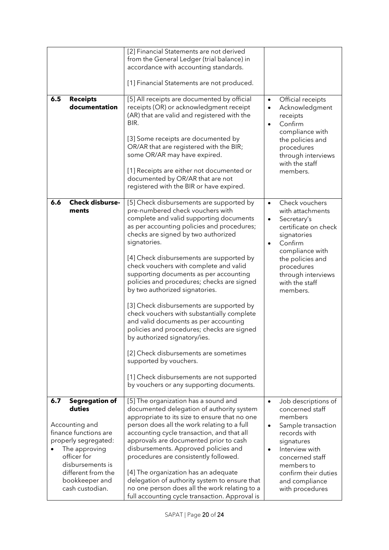|                                                                                                                                                                                                 |                        | [2] Financial Statements are not derived<br>from the General Ledger (trial balance) in<br>accordance with accounting standards.<br>[1] Financial Statements are not produced.                                                                                                                                                                                                                                                                                                                                                                                                                                                                                                                                                                                                                                             |                                     |                                                                                                                                                                                                                       |
|-------------------------------------------------------------------------------------------------------------------------------------------------------------------------------------------------|------------------------|---------------------------------------------------------------------------------------------------------------------------------------------------------------------------------------------------------------------------------------------------------------------------------------------------------------------------------------------------------------------------------------------------------------------------------------------------------------------------------------------------------------------------------------------------------------------------------------------------------------------------------------------------------------------------------------------------------------------------------------------------------------------------------------------------------------------------|-------------------------------------|-----------------------------------------------------------------------------------------------------------------------------------------------------------------------------------------------------------------------|
| <b>Receipts</b><br>6.5                                                                                                                                                                          | documentation          | [5] All receipts are documented by official<br>receipts (OR) or acknowledgment receipt<br>(AR) that are valid and registered with the<br>BIR.<br>[3] Some receipts are documented by<br>OR/AR that are registered with the BIR;<br>some OR/AR may have expired.<br>[1] Receipts are either not documented or<br>documented by OR/AR that are not<br>registered with the BIR or have expired.                                                                                                                                                                                                                                                                                                                                                                                                                              | $\bullet$<br>$\bullet$<br>$\bullet$ | Official receipts<br>Acknowledgment<br>receipts<br>Confirm<br>compliance with<br>the policies and<br>procedures<br>through interviews<br>with the staff<br>members.                                                   |
| 6.6<br>ments                                                                                                                                                                                    | <b>Check disburse-</b> | [5] Check disbursements are supported by<br>pre-numbered check vouchers with<br>complete and valid supporting documents<br>as per accounting policies and procedures;<br>checks are signed by two authorized<br>signatories.<br>[4] Check disbursements are supported by<br>check vouchers with complete and valid<br>supporting documents as per accounting<br>policies and procedures; checks are signed<br>by two authorized signatories.<br>[3] Check disbursements are supported by<br>check vouchers with substantially complete<br>and valid documents as per accounting<br>policies and procedures; checks are signed<br>by authorized signatory/ies.<br>[2] Check disbursements are sometimes<br>supported by vouchers.<br>[1] Check disbursements are not supported<br>by vouchers or any supporting documents. | $\bullet$<br>$\bullet$<br>$\bullet$ | Check vouchers<br>with attachments<br>Secretary's<br>certificate on check<br>signatories<br>Confirm<br>compliance with<br>the policies and<br>procedures<br>through interviews<br>with the staff<br>members.          |
| 6.7<br>duties<br>Accounting and<br>finance functions are<br>properly segregated:<br>The approving<br>officer for<br>disbursements is<br>different from the<br>bookkeeper and<br>cash custodian. | <b>Segregation of</b>  | [5] The organization has a sound and<br>documented delegation of authority system<br>appropriate to its size to ensure that no one<br>person does all the work relating to a full<br>accounting cycle transaction, and that all<br>approvals are documented prior to cash<br>disbursements. Approved policies and<br>procedures are consistently followed.<br>[4] The organization has an adequate<br>delegation of authority system to ensure that<br>no one person does all the work relating to a<br>full accounting cycle transaction. Approval is                                                                                                                                                                                                                                                                    | $\bullet$<br>$\bullet$<br>$\bullet$ | Job descriptions of<br>concerned staff<br>members<br>Sample transaction<br>records with<br>signatures<br>Interview with<br>concerned staff<br>members to<br>confirm their duties<br>and compliance<br>with procedures |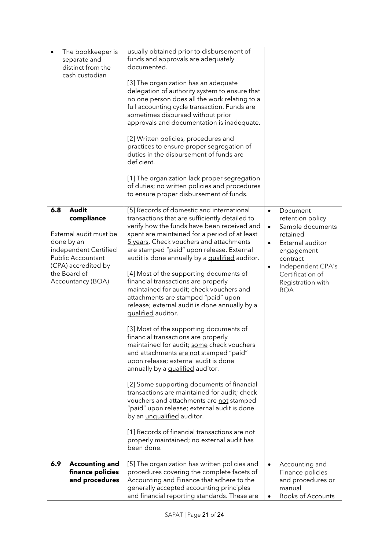| The bookkeeper is<br>separate and<br>distinct from the<br>cash custodian                                                                                                            | usually obtained prior to disbursement of<br>funds and approvals are adequately<br>documented.<br>[3] The organization has an adequate<br>delegation of authority system to ensure that<br>no one person does all the work relating to a<br>full accounting cycle transaction. Funds are<br>sometimes disbursed without prior<br>approvals and documentation is inadequate.<br>[2] Written policies, procedures and<br>practices to ensure proper segregation of<br>duties in the disbursement of funds are<br>deficient.<br>[1] The organization lack proper segregation<br>of duties; no written policies and procedures<br>to ensure proper disbursement of funds.                                                                                                                                                                                                                                                                                                                                                                                                                                                                                                             |                                                                                                                                                                                                                                            |
|-------------------------------------------------------------------------------------------------------------------------------------------------------------------------------------|-----------------------------------------------------------------------------------------------------------------------------------------------------------------------------------------------------------------------------------------------------------------------------------------------------------------------------------------------------------------------------------------------------------------------------------------------------------------------------------------------------------------------------------------------------------------------------------------------------------------------------------------------------------------------------------------------------------------------------------------------------------------------------------------------------------------------------------------------------------------------------------------------------------------------------------------------------------------------------------------------------------------------------------------------------------------------------------------------------------------------------------------------------------------------------------|--------------------------------------------------------------------------------------------------------------------------------------------------------------------------------------------------------------------------------------------|
| <b>Audit</b><br>6.8<br>compliance<br>External audit must be<br>done by an<br>independent Certified<br>Public Accountant<br>(CPA) accredited by<br>the Board of<br>Accountancy (BOA) | [5] Records of domestic and international<br>transactions that are sufficiently detailed to<br>verify how the funds have been received and<br>spent are maintained for a period of at least<br>5 years. Check vouchers and attachments<br>are stamped "paid" upon release. External<br>audit is done annually by a qualified auditor.<br>[4] Most of the supporting documents of<br>financial transactions are properly<br>maintained for audit; check vouchers and<br>attachments are stamped "paid" upon<br>release; external audit is done annually by a<br>qualified auditor.<br>[3] Most of the supporting documents of<br>financial transactions are properly<br>maintained for audit; some check vouchers<br>and attachments are not stamped "paid"<br>upon release; external audit is done<br>annually by a qualified auditor.<br>[2] Some supporting documents of financial<br>transactions are maintained for audit; check<br>vouchers and attachments are not stamped<br>"paid" upon release; external audit is done<br>by an <i>unqualified</i> auditor.<br>[1] Records of financial transactions are not<br>properly maintained; no external audit has<br>been done. | Document<br>$\bullet$<br>retention policy<br>Sample documents<br>$\bullet$<br>retained<br>External auditor<br>$\bullet$<br>engagement<br>contract<br>Independent CPA's<br>$\bullet$<br>Certification of<br>Registration with<br><b>BOA</b> |
| 6.9<br><b>Accounting and</b><br>finance policies<br>and procedures                                                                                                                  | [5] The organization has written policies and<br>procedures covering the complete facets of<br>Accounting and Finance that adhere to the<br>generally accepted accounting principles<br>and financial reporting standards. These are                                                                                                                                                                                                                                                                                                                                                                                                                                                                                                                                                                                                                                                                                                                                                                                                                                                                                                                                              | Accounting and<br>$\bullet$<br>Finance policies<br>and procedures or<br>manual<br><b>Books of Accounts</b>                                                                                                                                 |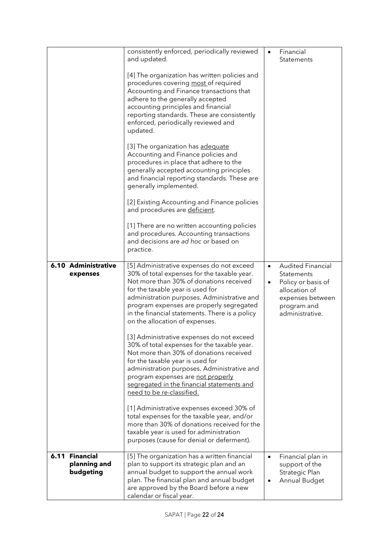|                                             | consistently enforced, periodically reviewed<br>and updated.                                                                                                                                                                                                                                                                                           | $\bullet$              | Financial<br>Statements                                                                                                             |
|---------------------------------------------|--------------------------------------------------------------------------------------------------------------------------------------------------------------------------------------------------------------------------------------------------------------------------------------------------------------------------------------------------------|------------------------|-------------------------------------------------------------------------------------------------------------------------------------|
|                                             | [4] The organization has written policies and<br>procedures covering most of required<br>Accounting and Finance transactions that<br>adhere to the generally accepted<br>accounting principles and financial<br>reporting standards. These are consistently<br>enforced, periodically reviewed and<br>updated.                                         |                        |                                                                                                                                     |
|                                             | [3] The organization has adequate<br>Accounting and Finance policies and<br>procedures in place that adhere to the<br>generally accepted accounting principles<br>and financial reporting standards. These are<br>generally implemented.                                                                                                               |                        |                                                                                                                                     |
|                                             | [2] Existing Accounting and Finance policies<br>and procedures are deficient.                                                                                                                                                                                                                                                                          |                        |                                                                                                                                     |
|                                             | [1] There are no written accounting policies<br>and procedures. Accounting transactions<br>and decisions are ad hoc or based on<br>practice.                                                                                                                                                                                                           |                        |                                                                                                                                     |
| 6.10 Administrative<br>expenses             | [5] Administrative expenses do not exceed<br>30% of total expenses for the taxable year.<br>Not more than 30% of donations received<br>for the taxable year is used for<br>administration purposes. Administrative and<br>program expenses are properly segregated<br>in the financial statements. There is a policy<br>on the allocation of expenses. | $\bullet$<br>$\bullet$ | <b>Audited Financial</b><br>Statements<br>Policy or basis of<br>allocation of<br>expenses between<br>program and<br>administrative. |
|                                             | [3] Administrative expenses do not exceed<br>30% of total expenses for the taxable year.<br>Not more than 30% of donations received<br>for the taxable year is used for<br>administration purposes. Administrative and<br>program expenses are not properly<br>segregated in the financial statements and<br>need to be re-classified.                 |                        |                                                                                                                                     |
|                                             | [1] Administrative expenses exceed 30% of<br>total expenses for the taxable year, and/or<br>more than 30% of donations received for the<br>taxable year is used for administration<br>purposes (cause for denial or deferment).                                                                                                                        |                        |                                                                                                                                     |
| 6.11 Financial<br>planning and<br>budgeting | [5] The organization has a written financial<br>plan to support its strategic plan and an<br>annual budget to support the annual work<br>plan. The financial plan and annual budget<br>are approved by the Board before a new<br>calendar or fiscal year.                                                                                              | $\bullet$<br>$\bullet$ | Financial plan in<br>support of the<br>Strategic Plan<br>Annual Budget                                                              |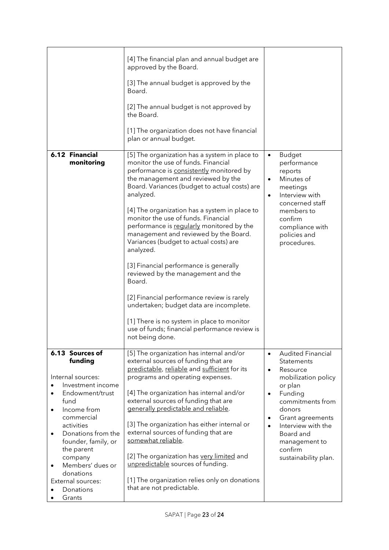|                                                                                                                                                                                                                                                                                                                                      | [4] The financial plan and annual budget are<br>approved by the Board.<br>[3] The annual budget is approved by the<br>Board.<br>[2] The annual budget is not approved by<br>the Board.<br>[1] The organization does not have financial<br>plan or annual budget.                                                                                                                                                                                                                                                                                                                                                                                                                                                                                                               |                                                                                                                                                                                                                                                                                                           |
|--------------------------------------------------------------------------------------------------------------------------------------------------------------------------------------------------------------------------------------------------------------------------------------------------------------------------------------|--------------------------------------------------------------------------------------------------------------------------------------------------------------------------------------------------------------------------------------------------------------------------------------------------------------------------------------------------------------------------------------------------------------------------------------------------------------------------------------------------------------------------------------------------------------------------------------------------------------------------------------------------------------------------------------------------------------------------------------------------------------------------------|-----------------------------------------------------------------------------------------------------------------------------------------------------------------------------------------------------------------------------------------------------------------------------------------------------------|
| 6.12 Financial<br>monitoring                                                                                                                                                                                                                                                                                                         | [5] The organization has a system in place to<br>monitor the use of funds. Financial<br>performance is consistently monitored by<br>the management and reviewed by the<br>Board. Variances (budget to actual costs) are<br>analyzed.<br>[4] The organization has a system in place to<br>monitor the use of funds. Financial<br>performance is regularly monitored by the<br>management and reviewed by the Board.<br>Variances (budget to actual costs) are<br>analyzed.<br>[3] Financial performance is generally<br>reviewed by the management and the<br>Board.<br>[2] Financial performance review is rarely<br>undertaken; budget data are incomplete.<br>[1] There is no system in place to monitor<br>use of funds; financial performance review is<br>not being done. | <b>Budget</b><br>$\bullet$<br>performance<br>reports<br>Minutes of<br>$\bullet$<br>meetings<br>Interview with<br>$\bullet$<br>concerned staff<br>members to<br>confirm<br>compliance with<br>policies and<br>procedures.                                                                                  |
| 6.13 Sources of<br>funding<br>Internal sources:<br>Investment income<br>Endowment/trust<br>fund<br>Income from<br>$\bullet$<br>commercial<br>activities<br>Donations from the<br>$\bullet$<br>founder, family, or<br>the parent<br>company<br>Members' dues or<br>$\bullet$<br>donations<br>External sources:<br>Donations<br>Grants | [5] The organization has internal and/or<br>external sources of funding that are<br>predictable, reliable and sufficient for its<br>programs and operating expenses.<br>[4] The organization has internal and/or<br>external sources of funding that are<br>generally predictable and reliable.<br>[3] The organization has either internal or<br>external sources of funding that are<br>somewhat reliable.<br>[2] The organization has very limited and<br>unpredictable sources of funding.<br>[1] The organization relies only on donations<br>that are not predictable.                                                                                                                                                                                                   | <b>Audited Financial</b><br>$\bullet$<br>Statements<br>Resource<br>$\bullet$<br>mobilization policy<br>or plan<br>Funding<br>$\bullet$<br>commitments from<br>donors<br>Grant agreements<br>$\bullet$<br>Interview with the<br>$\bullet$<br>Board and<br>management to<br>confirm<br>sustainability plan. |